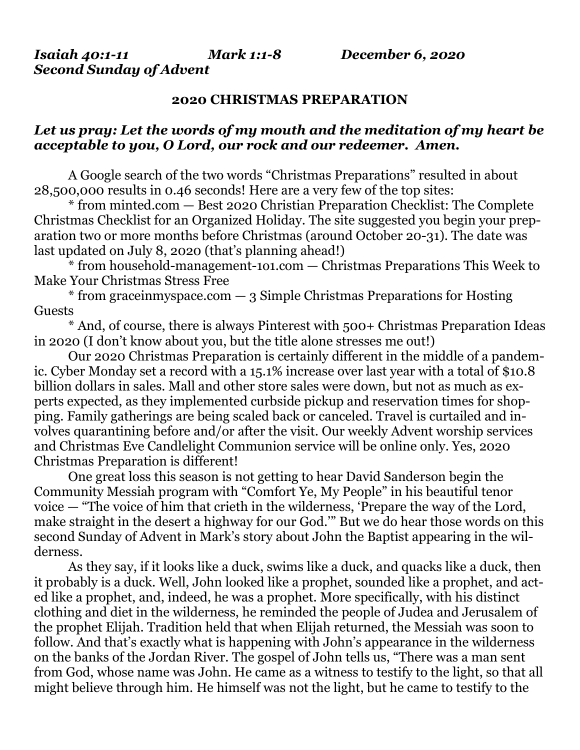*Second Sunday of Advent*

## **2020 CHRISTMAS PREPARATION**

## *Let us pray: Let the words of my mouth and the meditation of my heart be acceptable to you, O Lord, our rock and our redeemer. Amen.*

A Google search of the two words "Christmas Preparations" resulted in about 28,500,000 results in 0.46 seconds! Here are a very few of the top sites:

\* from [minted.com](http://minted.com/) — Best 2020 Christian Preparation Checklist: The Complete Christmas Checklist for an Organized Holiday. The site suggested you begin your preparation two or more months before Christmas (around October 20-31). The date was last updated on July 8, 2020 (that's planning ahead!)

\* from [household-management-1o1.com](http://household-management-1o1.com/) — Christmas Preparations This Week to Make Your Christmas Stress Free

\* from [graceinmyspace.com](http://graceinmyspace.com/) — 3 Simple Christmas Preparations for Hosting Guests

\* And, of course, there is always Pinterest with 500+ Christmas Preparation Ideas in 2020 (I don't know about you, but the title alone stresses me out!)

Our 2020 Christmas Preparation is certainly different in the middle of a pandemic. Cyber Monday set a record with a 15.1% increase over last year with a total of \$10.8 billion dollars in sales. Mall and other store sales were down, but not as much as experts expected, as they implemented curbside pickup and reservation times for shopping. Family gatherings are being scaled back or canceled. Travel is curtailed and involves quarantining before and/or after the visit. Our weekly Advent worship services and Christmas Eve Candlelight Communion service will be online only. Yes, 2020 Christmas Preparation is different!

One great loss this season is not getting to hear David Sanderson begin the Community Messiah program with "Comfort Ye, My People" in his beautiful tenor voice — "The voice of him that crieth in the wilderness, 'Prepare the way of the Lord, make straight in the desert a highway for our God.'" But we do hear those words on this second Sunday of Advent in Mark's story about John the Baptist appearing in the wilderness.

As they say, if it looks like a duck, swims like a duck, and quacks like a duck, then it probably is a duck. Well, John looked like a prophet, sounded like a prophet, and acted like a prophet, and, indeed, he was a prophet. More specifically, with his distinct clothing and diet in the wilderness, he reminded the people of Judea and Jerusalem of the prophet Elijah. Tradition held that when Elijah returned, the Messiah was soon to follow. And that's exactly what is happening with John's appearance in the wilderness on the banks of the Jordan River. The gospel of John tells us, "There was a man sent from God, whose name was John. He came as a witness to testify to the light, so that all might believe through him. He himself was not the light, but he came to testify to the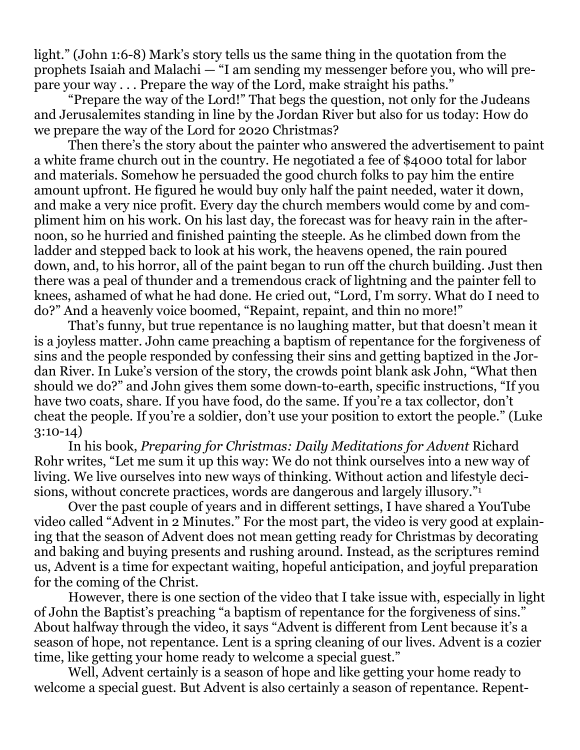light." (John 1:6-8) Mark's story tells us the same thing in the quotation from the prophets Isaiah and Malachi — "I am sending my messenger before you, who will prepare your way . . . Prepare the way of the Lord, make straight his paths."

"Prepare the way of the Lord!" That begs the question, not only for the Judeans and Jerusalemites standing in line by the Jordan River but also for us today: How do we prepare the way of the Lord for 2020 Christmas?

Then there's the story about the painter who answered the advertisement to paint a white frame church out in the country. He negotiated a fee of \$4000 total for labor and materials. Somehow he persuaded the good church folks to pay him the entire amount upfront. He figured he would buy only half the paint needed, water it down, and make a very nice profit. Every day the church members would come by and compliment him on his work. On his last day, the forecast was for heavy rain in the afternoon, so he hurried and finished painting the steeple. As he climbed down from the ladder and stepped back to look at his work, the heavens opened, the rain poured down, and, to his horror, all of the paint began to run off the church building. Just then there was a peal of thunder and a tremendous crack of lightning and the painter fell to knees, ashamed of what he had done. He cried out, "Lord, I'm sorry. What do I need to do?" And a heavenly voice boomed, "Repaint, repaint, and thin no more!"

That's funny, but true repentance is no laughing matter, but that doesn't mean it is a joyless matter. John came preaching a baptism of repentance for the forgiveness of sins and the people responded by confessing their sins and getting baptized in the Jordan River. In Luke's version of the story, the crowds point blank ask John, "What then should we do?" and John gives them some down-to-earth, specific instructions, "If you have two coats, share. If you have food, do the same. If you're a tax collector, don't cheat the people. If you're a soldier, don't use your position to extort the people." (Luke 3:10-14)

In his book, *Preparing for Christmas: Daily Meditations for Advent* Richard Rohr writes, "Let me sum it up this way: We do not think ourselves into a new way of living. We live ourselves into new ways of thinking. Without action and lifestyle decisions, without concrete practices, words are dangerous and largely illusory."<sup>1</sup>

Over the past couple of years and in different settings, I have shared a YouTube video called "Advent in 2 Minutes." For the most part, the video is very good at explaining that the season of Advent does not mean getting ready for Christmas by decorating and baking and buying presents and rushing around. Instead, as the scriptures remind us, Advent is a time for expectant waiting, hopeful anticipation, and joyful preparation for the coming of the Christ.

However, there is one section of the video that I take issue with, especially in light of John the Baptist's preaching "a baptism of repentance for the forgiveness of sins." About halfway through the video, it says "Advent is different from Lent because it's a season of hope, not repentance. Lent is a spring cleaning of our lives. Advent is a cozier time, like getting your home ready to welcome a special guest."

Well, Advent certainly is a season of hope and like getting your home ready to welcome a special guest. But Advent is also certainly a season of repentance. Repent-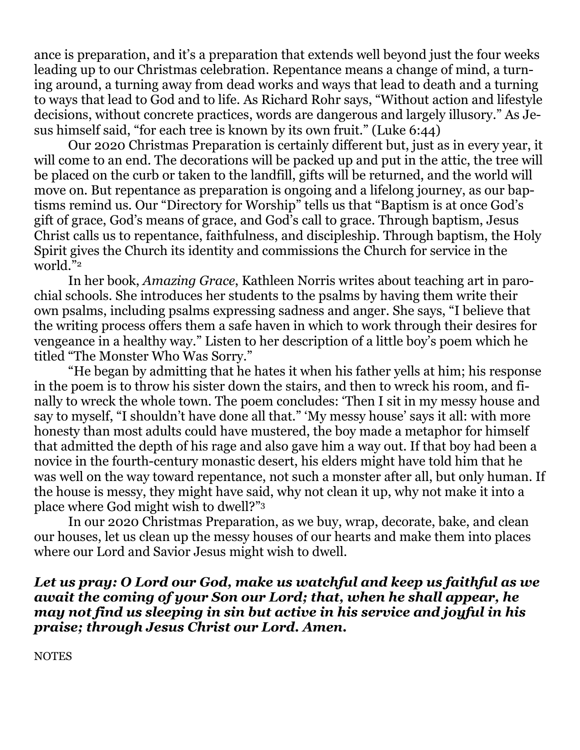ance is preparation, and it's a preparation that extends well beyond just the four weeks leading up to our Christmas celebration. Repentance means a change of mind, a turning around, a turning away from dead works and ways that lead to death and a turning to ways that lead to God and to life. As Richard Rohr says, "Without action and lifestyle decisions, without concrete practices, words are dangerous and largely illusory." As Jesus himself said, "for each tree is known by its own fruit." (Luke 6:44)

Our 2020 Christmas Preparation is certainly different but, just as in every year, it will come to an end. The decorations will be packed up and put in the attic, the tree will be placed on the curb or taken to the landfill, gifts will be returned, and the world will move on. But repentance as preparation is ongoing and a lifelong journey, as our baptisms remind us. Our "Directory for Worship" tells us that "Baptism is at once God's gift of grace, God's means of grace, and God's call to grace. Through baptism, Jesus Christ calls us to repentance, faithfulness, and discipleship. Through baptism, the Holy Spirit gives the Church its identity and commissions the Church for service in the world."<sup>2</sup>

In her book, *Amazing Grace*, Kathleen Norris writes about teaching art in parochial schools. She introduces her students to the psalms by having them write their own psalms, including psalms expressing sadness and anger. She says, "I believe that the writing process offers them a safe haven in which to work through their desires for vengeance in a healthy way." Listen to her description of a little boy's poem which he titled "The Monster Who Was Sorry."

"He began by admitting that he hates it when his father yells at him; his response in the poem is to throw his sister down the stairs, and then to wreck his room, and finally to wreck the whole town. The poem concludes: 'Then I sit in my messy house and say to myself, "I shouldn't have done all that." 'My messy house' says it all: with more honesty than most adults could have mustered, the boy made a metaphor for himself that admitted the depth of his rage and also gave him a way out. If that boy had been a novice in the fourth-century monastic desert, his elders might have told him that he was well on the way toward repentance, not such a monster after all, but only human. If the house is messy, they might have said, why not clean it up, why not make it into a place where God might wish to dwell?"<sup>3</sup>

In our 2020 Christmas Preparation, as we buy, wrap, decorate, bake, and clean our houses, let us clean up the messy houses of our hearts and make them into places where our Lord and Savior Jesus might wish to dwell.

*Let us pray: O Lord our God, make us watchful and keep us faithful as we await the coming of your Son our Lord; that, when he shall appear, he may not find us sleeping in sin but active in his service and joyful in his praise; through Jesus Christ our Lord. Amen.*

**NOTES**